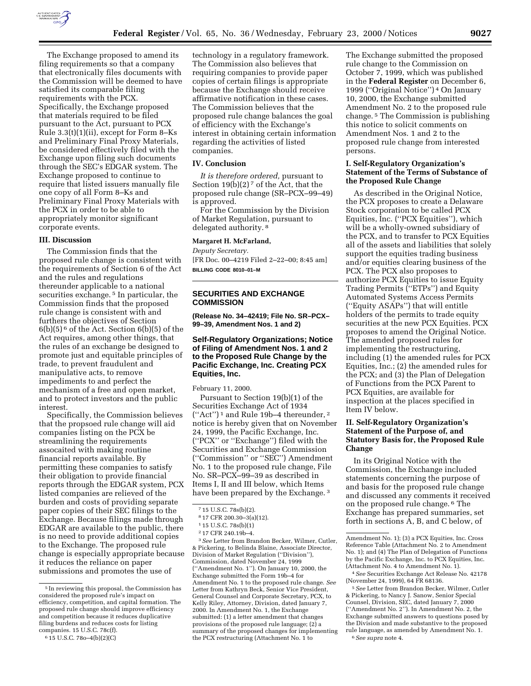

The Exchange proposed to amend its filing requirements so that a company that electronically files documents with the Commission will be deemed to have satisfied its comparable filing requirements with the PCX. Specifically, the Exchange proposed that materials required to be filed pursuant to the Act, pursuant to PCX Rule 3.3(t)(1)(ii), except for Form 8–Ks and Preliminary Final Proxy Materials, be considered effectively filed with the Exchange upon filing such documents through the SEC's EDGAR system. The Exchange proposed to continue to require that listed issuers manually file one copy of all Form 8–Ks and Preliminary Final Proxy Materials with the PCX in order to be able to appropriately monitor significant corporate events.

### **III. Discussion**

The Commission finds that the proposed rule change is consistent with the requirements of Section 6 of the Act and the rules and regulations thereunder applicable to a national securities exchange. 5 In particular, the Commission finds that the proposed rule change is consistent with and furthers the objectives of Section  $6(b)(5)^6$  of the Act. Section  $6(b)(5)$  of the Act requires, among other things, that the rules of an exchange be designed to promote just and equitable principles of trade, to prevent fraudulent and manipulative acts, to remove impediments to and perfect the mechanism of a free and open market, and to protect investors and the public interest.

Specifically, the Commission believes that the propsoed rule change will aid companies listing on the PCX be streamlining the requirements assocaited with making routine financial reports available. By permitting these companies to satisfy their obligation to provide financial reports through the EDGAR system, PCX listed companies are relieved of the burden and costs of providing separate paper copies of their SEC filings to the Exchange. Because filings made through EDGAR are available to the public, there is no need to provide additional copies to the Exchange. The proposed rule change is especially appropriate because it reduces the reliance on paper submissions and promotes the use of

technology in a regulatory framework. The Commission also believes that requiring companies to provide paper copies of certain filings is appropriate because the Exchange should receive affirmative notification in these cases. The Commission believes that the proposed rule change balances the goal of efficiency with the Exchange's interest in obtaining certain information regarding the activities of listed companies.

#### **IV. Conclusion**

*It is therefore ordered,* pursuant to Section  $19(b)(2)^7$  of the Act, that the proposed rule change (SR–PCX–99–49) is approved.

For the Commission by the Division of Market Regulation, pursuant to delegated authority. 8

## **Margaret H. McFarland,**

*Deputy Secretary.*

[FR Doc. 00–4219 Filed 2–22–00; 8:45 am] **BILLING CODE 8010–01–M**

# **SECURITIES AND EXCHANGE COMMISSION**

**(Release No. 34–42419; File No. SR–PCX– 99–39, Amendment Nos. 1 and 2)**

## **Self-Regulatory Organizations; Notice of Filing of Amendment Nos. 1 and 2 to the Proposed Rule Change by the Pacific Exchange, Inc. Creating PCX Equities, Inc.**

February 11, 2000.

Pursuant to Section 19(b)(1) of the Securities Exchange Act of 1934 (''Act'') 1 and Rule 19b–4 thereunder, 2 notice is hereby given that on November 24, 1999, the Pacific Exchange, Inc. (''PCX'' or ''Exchange'') filed with the Securities and Exchange Commission (''Commission'' or ''SEC'') Amendment No. 1 to the proposed rule change, File No. SR–PCX–99–39 as described in Items I, II and III below, which Items have been prepared by the Exchange. 3

3*See* Letter from Brandon Becker, Wilmer, Cutler, & Pickering, to Belinda Blaine, Associate Director, Division of Market Regulation (''Division''), Commission, dated November 24, 1999 (''Amendment No. 1''). On January 10, 2000, the Exchange submitted the Form 19b–4 for Amendment No. 1 to the proposed rule change. *See* Letter from Kathryn Beck, Senior Vice President, General Counsel and Corporate Secretary, PCX, to Kelly Riley, Attorney, Division, dated January 7, 2000. In Amendment No. 1, the Exchange submitted: (1) a letter amendment that changes provisions of the proposed rule language; (2) a summary of the proposed changes for implementing the PCX restructuring (Attachment No. 1 to

The Exchange submitted the proposed rule change to the Commission on October 7, 1999, which was published in the **Federal Register** on December 6, 1999 (''Original Notice'') 4 On January 10, 2000, the Exchange submitted Amendment No. 2 to the proposed rule change. 5 The Commission is publishing this notice to solicit comments on Amendment Nos. 1 and 2 to the proposed rule change from interested persons.

## **I. Self-Regulatory Organization's Statement of the Terms of Substance of the Proposed Rule Change**

As described in the Original Notice, the PCX proposes to create a Delaware Stock corporation to be called PCX Equities, Inc. (''PCX Equities''), which will be a wholly-owned subsidiary of the PCX, and to transfer to PCX Equities all of the assets and liabilities that solely support the equities trading business and/or equities clearing business of the PCX. The PCX also proposes to authorize PCX Equities to issue Equity Trading Permits (''ETPs'') and Equity Automated Systems Access Permits (''Equity ASAPs'') that will entitle holders of the permits to trade equity securities at the new PCX Equities. PCX proposes to amend the Original Notice. The amended proposed rules for implementing the restructuring, including (1) the amended rules for PCX Equities, Inc.; (2) the amended rules for the PCX; and (3) the Plan of Delegation of Functions from the PCX Parent to PCX Equities, are available for inspection at the places specified in Item IV below.

# **II. Self-Regulatory Organization's Statement of the Purpose of, and Statutory Basis for, the Proposed Rule Change**

In its Original Notice with the Commission, the Exchange included statements concerning the purpose of and basis for the proposed rule change and discussed any comments it received on the proposed rule change. 6 The Exchange has prepared summaries, set forth in sections A, B, and C below, of

4*See* Securities Exchange Act Release No. 42178 (November 24, 1999), 64 FR 68136.

5*See* Letter from Brandon Becker, Wilmer, Cutler & Pickering, to Nancy J. Sanow, Senior Special Counsel, Division, SEC, dated January 7, 2000 (''Amendment No. 2''). In Amendment No. 2, the Exchange submitted answers to questions posed by the Division and made substantive to the proposed rule language, as amended by Amendment No. 1. 6*See supra* note 4.

<sup>5</sup> In reviewing this proposal, the Commission has considered the proposed rule's impact on efficiency, competition, and capital formation. The proposed rule change should improve efficiency and competition because it reduces duplicative filing burdens and reduces costs for listing companies. 15 U.S.C. 78c(f).

<sup>6</sup> 15 U.S.C. 78o–4(b)(2)(C)

<sup>7</sup> 15 U.S.C. 78s(b)(2).

<sup>8</sup> 17 CFR 200.30–3(a)(12).

<sup>1</sup> 15 U.S.C. 78s(b)(1)

<sup>2</sup> 17 CFR 240.19b–4.

Amendment No. 1); (3) a PCX Equities, Inc. Cross Reference Table (Attachment No. 2 to Amendment No. 1); and (4) The Plan of Delegation of Functions by the Pacific Exchange, Inc. to PCX Equities, Inc. (Attachment No. 4 to Amendment No. 1).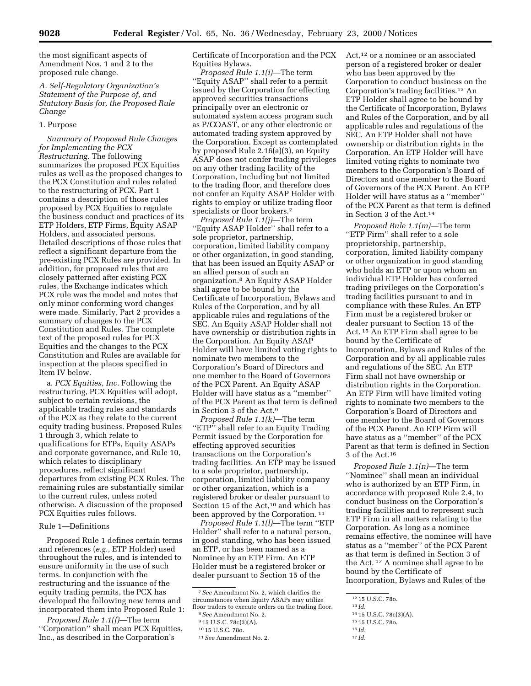the most significant aspects of Amendment Nos. 1 and 2 to the proposed rule change.

# *A. Self-Regulatory Organization's Statement of the Purpose of, and Statutory Basis for, the Proposed Rule Change*

## 1. Purpose

*Summary of Proposed Rule Changes for Implementing the PCX Restructuring.* The following summarizes the proposed PCX Equities rules as well as the proposed changes to the PCX Constitution and rules related to the restructuring of PCX. Part 1 contains a description of those rules proposed by PCX Equities to regulate the business conduct and practices of its ETP Holders, ETP Firms, Equity ASAP Holders, and associated persons. Detailed descriptions of those rules that reflect a significant departure from the pre-existing PCX Rules are provided. In addition, for proposed rules that are closely patterned after existing PCX rules, the Exchange indicates which PCX rule was the model and notes that only minor conforming word changes were made. Similarly, Part 2 provides a summary of changes to the PCX Constitution and Rules. The complete text of the proposed rules for PCX Equities and the changes to the PCX Constitution and Rules are available for inspection at the places specified in Item IV below.

a. *PCX Equities, Inc.* Following the restructuring, PCX Equities will adopt, subject to certain revisions, the applicable trading rules and standards of the PCX as they relate to the current equity trading business. Proposed Rules 1 through 3, which relate to qualifications for ETPs, Equity ASAPs and corporate governance, and Rule 10, which relates to disciplinary procedures, reflect significant departures from existing PCX Rules. The remaining rules are substantially similar to the current rules, unless noted otherwise. A discussion of the proposed PCX Equities rules follows.

### Rule 1—Definitions

Proposed Rule 1 defines certain terms and references (*e.g.,* ETP Holder) used throughout the rules, and is intended to ensure uniformity in the use of such terms. In conjunction with the restructuring and the issuance of the equity trading permits, the PCX has developed the following new terms and incorporated them into Proposed Rule 1:

*Proposed Rule 1.1(f)*—The term ''Corporation'' shall mean PCX Equities, Inc., as described in the Corporation's

Certificate of Incorporation and the PCX Equities Bylaws.

*Proposed Rule 1.1(i)*—The term ''Equity ASAP'' shall refer to a permit issued by the Corporation for effecting approved securities transactions principally over an electronic or automated system access program such as P/COAST, or any other electronic or automated trading system approved by the Corporation. Except as contemplated by proposed Rule 2.16(a)(3), an Equity ASAP does not confer trading privileges on any other trading facility of the Corporation, including but not limited to the trading floor, and therefore does not confer an Equity ASAP Holder with rights to employ or utilize trading floor specialists or floor brokers.7

*Proposed Rule 1.1(j)*—The term ''Equity ASAP Holder'' shall refer to a sole proprietor, partnership, corporation, limited liability company or other organization, in good standing, that has been issued an Equity ASAP or an allied person of such an organization.8 An Equity ASAP Holder shall agree to be bound by the Certificate of Incorporation, Bylaws and Rules of the Corporation, and by all applicable rules and regulations of the SEC. An Equity ASAP Holder shall not have ownership or distribution rights in the Corporation. An Equity ASAP Holder will have limited voting rights to nominate two members to the Corporation's Board of Directors and one member to the Board of Governors of the PCX Parent. An Equity ASAP Holder will have status as a ''member'' of the PCX Parent as that term is defined in Section 3 of the Act.9

*Proposed Rule 1.1(k)*—The term "ETP" shall refer to an Equity Trading Permit issued by the Corporation for effecting approved securities transactions on the Corporation's trading facilities. An ETP may be issued to a sole proprietor, partnership, corporation, limited liability company or other organization, which is a registered broker or dealer pursuant to Section 15 of the Act,<sup>10</sup> and which has been approved by the Corporation.<sup>11</sup>

*Proposed Rule 1.1(l)*—The term ''ETP Holder'' shall refer to a natural person, in good standing, who has been issued an ETP, or has been named as a Nominee by an ETP Firm. An ETP Holder must be a registered broker or dealer pursuant to Section 15 of the

Act,<sup>12</sup> or a nominee or an associated person of a registered broker or dealer who has been approved by the Corporation to conduct business on the Corporation's trading facilities.13 An ETP Holder shall agree to be bound by the Certificate of Incorporation, Bylaws and Rules of the Corporation, and by all applicable rules and regulations of the SEC. An ETP Holder shall not have ownership or distribution rights in the Corporation. An ETP Holder will have limited voting rights to nominate two members to the Corporation's Board of Directors and one member to the Board of Governors of the PCX Parent. An ETP Holder will have status as a ''member'' of the PCX Parent as that term is defined in Section 3 of the Act.14

*Proposed Rule 1.1(m)*—The term ''ETP Firm'' shall refer to a sole proprietorship, partnership, corporation, limited liability company or other organization in good standing who holds an ETP or upon whom an individual ETP Holder has conferred trading privileges on the Corporation's trading facilities pursuant to and in compliance with these Rules. An ETP Firm must be a registered broker or dealer pursuant to Section 15 of the Act. 15 An ETP Firm shall agree to be bound by the Certificate of Incorporation, Bylaws and Rules of the Corporation and by all applicable rules and regulations of the SEC. An ETP Firm shall not have ownership or distribution rights in the Corporation. An ETP Firm will have limited voting rights to nominate two members to the Corporation's Board of Directors and one member to the Board of Governors of the PCX Parent. An ETP Firm will have status as a ''member'' of the PCX Parent as that term is defined in Section 3 of the Act.16

*Proposed Rule 1.1(n)*—The term ''Nominee'' shall mean an individual who is authorized by an ETP Firm, in accordance with proposed Rule 2.4, to conduct business on the Corporation's trading facilities and to represent such ETP Firm in all matters relating to the Corporation. As long as a nominee remains effective, the nominee will have status as a ''member'' of the PCX Parent as that term is defined in Section 3 of the Act. 17 A nominee shall agree to be bound by the Certificate of Incorporation, Bylaws and Rules of the

15 15 U.S.C. 78o. 16 *Id.*

<sup>7</sup>*See* Amendment No. 2, which clarifies the circumstances when Equity ASAPs may utilize floor traders to execute orders on the trading floor.

<sup>8</sup>*See* Amendment No. 2.

<sup>9</sup> 15 U.S.C. 78c(3)(A).

<sup>10</sup> 15 U.S.C. 78o.

<sup>11</sup>*See* Amendment No. 2.

<sup>12</sup> 15 U.S.C. 78o.

<sup>13</sup> *Id.*

<sup>14</sup> 15 U.S.C. 78c(3)(A).

<sup>17</sup> *Id.*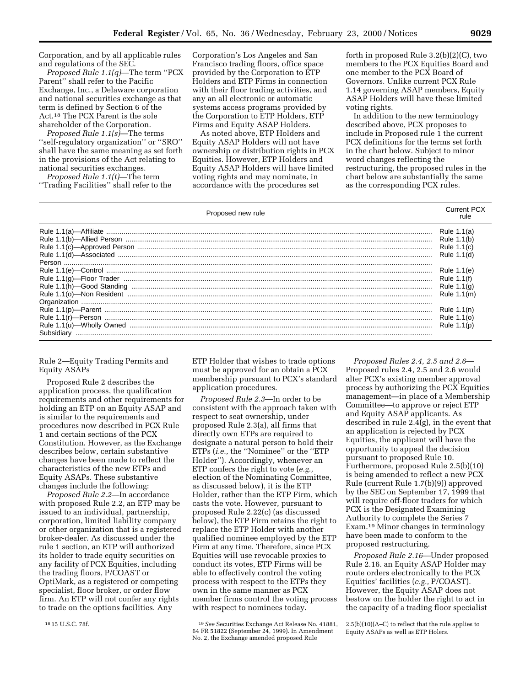Corporation, and by all applicable rules and regulations of the SEC.

*Proposed Rule 1.1(q)*—The term ''PCX Parent'' shall refer to the Pacific Exchange, Inc., a Delaware corporation and national securities exchange as that term is defined by Section 6 of the Act.18 The PCX Parent is the sole shareholder of the Corporation.

*Proposed Rule 1.1(s)*—The terms ''self-regulatory organization'' or ''SRO'' shall have the same meaning as set forth in the provisions of the Act relating to national securities exchanges.

*Proposed Rule 1.1(t)*—The term ''Trading Facilities'' shall refer to the

Corporation's Los Angeles and San Francisco trading floors, office space provided by the Corporation to ETP Holders and ETP Firms in connection with their floor trading activities, and any an all electronic or automatic systems access programs provided by the Corporation to ETP Holders, ETP Firms and Equity ASAP Holders.

As noted above, ETP Holders and Equity ASAP Holders will not have ownership or distribution rights in PCX Equities. However, ETP Holders and Equity ASAP Holders will have limited voting rights and may nominate, in accordance with the procedures set

forth in proposed Rule 3.2(b)(2)(C), two members to the PCX Equities Board and one member to the PCX Board of Governors. Unlike current PCX Rule 1.14 governing ASAP members, Equity ASAP Holders will have these limited voting rights.

In addition to the new terminology described above, PCX proposes to include in Proposed rule 1 the current PCX definitions for the terms set forth in the chart below. Subject to minor word changes reflecting the restructuring, the proposed rules in the chart below are substantially the same as the corresponding PCX rules.

| Proposed new rule                              | <b>Current PCX</b>                                         | rule |
|------------------------------------------------|------------------------------------------------------------|------|
|                                                | Rule 1.1(a)<br>Rule 1.1(b)<br>Rule 1.1(c)<br>Rule 1.1(d)   |      |
|                                                | Rule 1.1(e)<br>Rule 1.1(f)<br>Rule $1.1(a)$<br>Rule 1.1(m) |      |
| Rule $1.1(p)$ —Parent<br>Rule $1.1(r)$ —Person | Rule 1.1(n)<br>Rule 1.1(o)<br>Rule 1.1(p)                  |      |

Rule 2—Equity Trading Permits and Equity ASAPs

Proposed Rule 2 describes the application process, the qualification requirements and other requirements for holding an ETP on an Equity ASAP and is similar to the requirements and procedures now described in PCX Rule 1 and certain sections of the PCX Constitution. However, as the Exchange describes below, certain substantive changes have been made to reflect the characteristics of the new ETPs and Equity ASAPs. These substantive changes include the following:

*Proposed Rule 2.2*—In accordance with proposed Rule 2.2, an ETP may be issued to an individual, partnership, corporation, limited liability company or other organization that is a registered broker-dealer. As discussed under the rule 1 section, an ETP will authorized its holder to trade equity securities on any facility of PCX Equities, including the trading floors, P/COAST or OptiMark, as a registered or competing specialist, floor broker, or order flow firm. An ETP will not confer any rights to trade on the options facilities. Any

ETP Holder that wishes to trade options must be approved for an obtain a PCX membership pursuant to PCX's standard application procedures.

*Proposed Rule 2.3*—In order to be consistent with the approach taken with respect to seat ownership, under proposed Rule 2.3(a), all firms that directly own ETPs are required to designate a natural person to hold their ETPs (*i.e.,* the ''Nominee'' or the ''ETP Holder''). Accordingly, whenever an ETP confers the right to vote (*e.g.,* election of the Nominating Committee, as discussed below), it is the ETP Holder, rather than the ETP Firm, which casts the vote. However, pursuant to proposed Rule 2.22(c) (as discussed below), the ETP Firm retains the right to replace the ETP Holder with another qualified nominee employed by the ETP Firm at any time. Therefore, since PCX Equities will use revocable proxies to conduct its votes, ETP Firms will be able to effectively control the voting process with respect to the ETPs they own in the same manner as PCX member firms control the voting process with respect to nominees today.

*Proposed Rules 2.4, 2.5 and 2.6*— Proposed rules 2.4, 2.5 and 2.6 would alter PCX's existing member approval process by authorizing the PCX Equities management—in place of a Membership Committee—to approve or reject ETP and Equity ASAP applicants. As described in rule 2.4(g), in the event that an application is rejected by PCX Equities, the applicant will have the opportunity to appeal the decision pursuant to proposed Rule 10. Furthermore, proposed Rule 2.5(b)(10) is being amended to reflect a new PCX Rule (current Rule 1.7(b)(9)) approved by the SEC on September 17, 1999 that will require off-floor traders for which PCX is the Designated Examining Authority to complete the Series 7 Exam.19 Minor changes in terminology have been made to conform to the proposed restructuring.

*Proposed Rule 2.16*—Under proposed Rule 2.16. an Equity ASAP Holder may route orders electronically to the PCX Equities' facilities (*e.g.,* P/COAST). However, the Equity ASAP does not bestow on the holder the right to act in the capacity of a trading floor specialist

<sup>18</sup> 15 U.S.C. 78f. 19*See* Securities Exchange Act Release No. 41881, 64 FR 51822 (September 24, 1999). In Amendment No. 2, the Exchange amended proposed Rule

<sup>2.5(</sup>b)(10)(A–C) to reflect that the rule applies to Equity ASAPs as well as ETP Holers.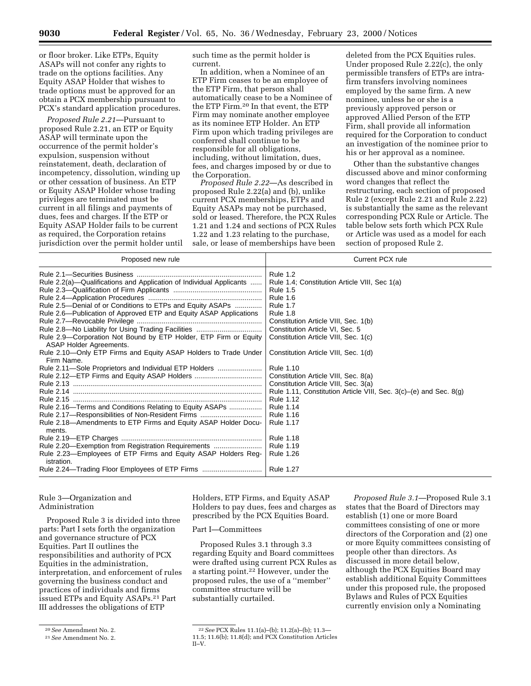or floor broker. Like ETPs, Equity ASAPs will not confer any rights to trade on the options facilities. Any Equity ASAP Holder that wishes to trade options must be approved for an obtain a PCX membership pursuant to PCX's standard application procedures.

*Proposed Rule 2.21*—Pursuant to proposed Rule 2.21, an ETP or Equity ASAP will terminate upon the occurrence of the permit holder's expulsion, suspension without reinstatement, death, declaration of incompetency, dissolution, winding up or other cessation of business. An ETP or Equity ASAP Holder whose trading privileges are terminated must be current in all filings and payments of dues, fees and charges. If the ETP or Equity ASAP Holder fails to be current as required, the Corporation retains jurisdiction over the permit holder until such time as the permit holder is current.

In addition, when a Nominee of an ETP Firm ceases to be an employee of the ETP Firm, that person shall automatically cease to be a Nominee of the ETP Firm.20 In that event, the ETP Firm may nominate another employee as its nominee ETP Holder. An ETP Firm upon which trading privileges are conferred shall continue to be responsible for all obligations, including, without limitation, dues, fees, and charges imposed by or due to the Corporation.

*Proposed Rule 2.22*—As described in proposed Rule 2.22(a) and (b), unlike current PCX memberships, ETPs and Equity ASAPs may not be purchased, sold or leased. Therefore, the PCX Rules 1.21 and 1.24 and sections of PCX Rules 1.22 and 1.23 relating to the purchase, sale, or lease of memberships have been

deleted from the PCX Equities rules. Under proposed Rule 2.22(c), the only permissible transfers of ETPs are intrafirm transfers involving nominees employed by the same firm. A new nominee, unless he or she is a previously approved person or approved Allied Person of the ETP Firm, shall provide all information required for the Corporation to conduct an investigation of the nominee prior to his or her approval as a nominee.

Other than the substantive changes discussed above and minor conforming word changes that reflect the restructuring, each section of proposed Rule 2 (except Rule 2.21 and Rule 2.22) is substantially the same as the relevant corresponding PCX Rule or Article. The table below sets forth which PCX Rule or Article was used as a model for each section of proposed Rule 2.

# Rule 3—Organization and Administration

Proposed Rule 3 is divided into three parts: Part I sets forth the organization and governance structure of PCX Equities. Part II outlines the responsibilities and authority of PCX Equities in the administration, interpretation, and enforcement of rules governing the business conduct and practices of individuals and firms issued ETPs and Equity ASAPs.21 Part III addresses the obligations of ETP

20*See* Amendment No. 2.

Holders, ETP Firms, and Equity ASAP Holders to pay dues, fees and charges as prescribed by the PCX Equities Board.

### Part I—Committees

Proposed Rules 3.1 through 3.3 regarding Equity and Board committees were drafted using current PCX Rules as a starting point.22 However, under the proposed rules, the use of a ''member'' committee structure will be substantially curtailed.

*Proposed Rule 3.1*—Proposed Rule 3.1 states that the Board of Directors may establish (1) one or more Board committees consisting of one or more directors of the Corporation and (2) one or more Equity committees consisting of people other than directors. As discussed in more detail below, although the PCX Equities Board may establish additional Equity Committees under this proposed rule, the proposed Bylaws and Rules of PCX Equities currently envision only a Nominating

<sup>21</sup>*See* Amendment No. 2.

<sup>22</sup>*See* PCX Rules 11.1(a)–(b); 11.2(a)–(b); 11.3— 11.5; 11.6(b); 11.8(d); and PCX Constitution Articles II–V.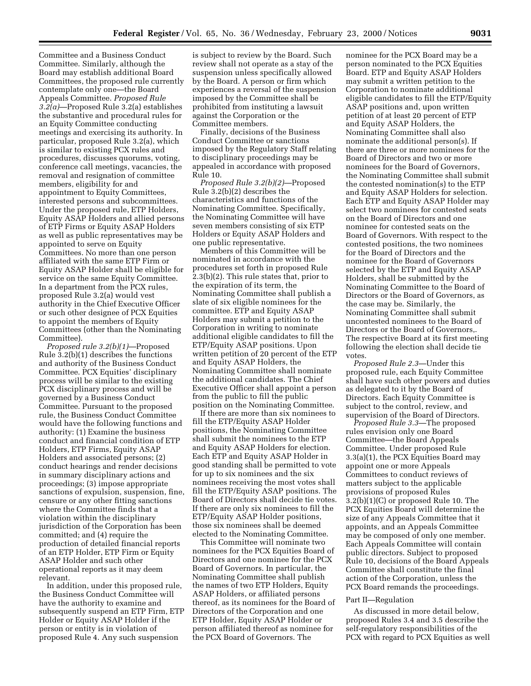Committee and a Business Conduct Committee. Similarly, although the Board may establish additional Board Committees, the proposed rule currently contemplate only one—the Board Appeals Committee. *Proposed Rule 3.2(a)*—Proposed Rule 3.2(a) establishes the substantive and procedural rules for an Equity Committee conducting meetings and exercising its authority. In particular, proposed Rule 3.2(a), which is similar to existing PCX rules and procedures, discusses quorums, voting, conference call meetings, vacancies, the removal and resignation of committee members, eligibility for and appointment to Equity Committees, interested persons and subcommittees. Under the proposed rule, ETP Holders, Equity ASAP Holders and allied persons of ETP Firms or Equity ASAP Holders as well as public representatives may be appointed to serve on Equity Committees. No more than one person affiliated with the same ETP Firm or Equity ASAP Holder shall be eligible for service on the same Equity Committee. In a department from the PCX rules, proposed Rule 3.2(a) would vest authority in the Chief Executive Officer or such other designee of PCX Equities to appoint the members of Equity Committees (other than the Nominating Committee).

*Proposed rule 3.2(b)(1)*—Proposed Rule 3.2(b)(1) describes the functions and authority of the Business Conduct Committee. PCX Equities' disciplinary process will be similar to the existing PCX disciplinary process and will be governed by a Business Conduct Committee. Pursuant to the proposed rule, the Business Conduct Committee would have the following functions and authority: (1) Examine the business conduct and financial condition of ETP Holders, ETP Firms, Equity ASAP Holders and associated persons; (2) conduct hearings and render decisions in summary disciplinary actions and proceedings; (3) impose appropriate sanctions of expulsion, suspension, fine, censure or any other fitting sanctions where the Committee finds that a violation within the disciplinary jurisdiction of the Corporation has been committed; and (4) require the production of detailed financial reports of an ETP Holder, ETP Firm or Equity ASAP Holder and such other operational reports as it may deem relevant.

In addition, under this proposed rule, the Business Conduct Committee will have the authority to examine and subsequently suspend an ETP Firm, ETP Holder or Equity ASAP Holder if the person or entity is in violation of proposed Rule 4. Any such suspension

is subject to review by the Board. Such review shall not operate as a stay of the suspension unless specifically allowed by the Board. A person or firm which experiences a reversal of the suspension imposed by the Committee shall be prohibited from instituting a lawsuit against the Corporation or the Committee members.

Finally, decisions of the Business Conduct Committee or sanctions imposed by the Regulatory Staff relating to disciplinary proceedings may be appealed in accordance with proposed Rule 10.

*Proposed Rule 3.2(b)(2)*—Proposed Rule 3.2(b)(2) describes the characteristics and functions of the Nominating Committee. Specifically, the Nominating Committee will have seven members consisting of six ETP Holders or Equity ASAP Holders and one public representative.

Members of this Committee will be nominated in accordance with the procedures set forth in proposed Rule 2.3(b)(2). This rule states that, prior to the expiration of its term, the Nominating Committee shall publish a slate of six eligible nominees for the committee. ETP and Equity ASAP Holders may submit a petition to the Corporation in writing to nominate additional eligible candidates to fill the ETP/Equity ASAP positions. Upon written petition of 20 percent of the ETP and Equity ASAP Holders, the Nominating Committee shall nominate the additional candidates. The Chief Executive Officer shall appoint a person from the public to fill the public position on the Nominating Committee.

If there are more than six nominees to fill the ETP/Equity ASAP Holder positions, the Nominating Committee shall submit the nominees to the ETP and Equity ASAP Holders for election. Each ETP and Equity ASAP Holder in good standing shall be permitted to vote for up to six nominees and the six nominees receiving the most votes shall fill the ETP/Equity ASAP positions. The Board of Directors shall decide tie votes. If there are only six nominees to fill the ETP/Equity ASAP Holder positions, those six nominees shall be deemed elected to the Nominating Committee.

This Committee will nominate two nominees for the PCX Equities Board of Directors and one nominee for the PCX Board of Governors. In particular, the Nominating Committee shall publish the names of two ETP Holders, Equity ASAP Holders, or affiliated persons thereof, as its nominees for the Board of Directors of the Corporation and one ETP Holder, Equity ASAP Holder or person affiliated thereof as nominee for the PCX Board of Governors. The

nominee for the PCX Board may be a person nominated to the PCX Equities Board. ETP and Equity ASAP Holders may submit a written petition to the Corporation to nominate additional eligible candidates to fill the ETP/Equity ASAP positions and, upon written petition of at least 20 percent of ETP and Equity ASAP Holders, the Nominating Committee shall also nominate the additional person(s). If there are three or more nominees for the Board of Directors and two or more nominees for the Board of Governors, the Nominating Committee shall submit the contested nomination(s) to the ETP and Equity ASAP Holders for selection. Each ETP and Equity ASAP Holder may select two nominees for contested seats on the Board of Directors and one nominee for contested seats on the Board of Governors. With respect to the contested positions, the two nominees for the Board of Directors and the nominee for the Board of Governors selected by the ETP and Equity ASAP Holders, shall be submitted by the Nominating Committee to the Board of Directors or the Board of Governors, as the case may be. Similarly, the Nominating Committee shall submit uncontested nominees to the Board of Directors or the Board of Governors,. The respective Board at its first meeting following the election shall decide tie votes.

*Proposed Rule 2.3*—Under this proposed rule, each Equity Committee shall have such other powers and duties as delegated to it by the Board of Directors. Each Equity Committee is subject to the control, review, and supervision of the Board of Directors.

*Proposed Rule 3.3*—The proposed rules envision only one Board Committee—the Board Appeals Committee. Under proposed Rule 3.3(a)(1), the PCX Equities Board may appoint one or more Appeals Committees to conduct reviews of matters subject to the applicable provisions of proposed Rules 3.2(b)(1)(C) or proposed Rule 10. The PCX Equities Board will determine the size of any Appeals Committee that it appoints, and an Appeals Committee may be composed of only one member. Each Appeals Committee will contain public directors. Subject to proposed Rule 10, decisions of the Board Appeals Committee shall constitute the final action of the Corporation, unless the PCX Board remands the proceedings.

### Part II—Regulation

As discussed in more detail below, proposed Rules 3.4 and 3.5 describe the self-regulatory responsibilities of the PCX with regard to PCX Equities as well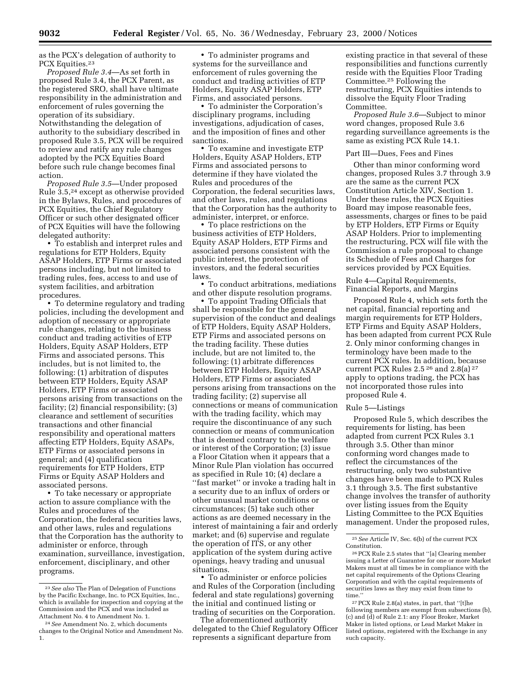as the PCX's delegation of authority to PCX Equities.<sup>23</sup>

*Proposed Rule 3.4*—As set forth in proposed Rule 3.4, the PCX Parent, as the registered SRO, shall have ultimate responsibility in the administration and enforcement of rules governing the operation of its subsidiary. Notwithstanding the delegation of authority to the subsidiary described in proposed Rule 3.5, PCX will be required to review and ratify any rule changes adopted by the PCX Equities Board before such rule change becomes final action.

*Proposed Rule 3.5*—Under proposed Rule 3.5,24 except as otherwise provided in the Bylaws, Rules, and procedures of PCX Equities, the Chief Regulatory Officer or such other designated officer of PCX Equities will have the following delegated authority:

• To establish and interpret rules and regulations for ETP Holders, Equity ASAP Holders, ETP Firms or associated persons including, but not limited to trading rules, fees, access to and use of system facilities, and arbitration procedures.

• To determine regulatory and trading policies, including the development and adoption of necessary or appropriate rule changes, relating to the business conduct and trading activities of ETP Holders, Equity ASAP Holders, ETP Firms and associated persons. This includes, but is not limited to, the following: (1) arbitration of disputes between ETP Holders, Equity ASAP Holders, ETP Firms or associated persons arising from transactions on the facility; (2) financial responsibility; (3) clearance and settlement of securities transactions and other financial responsibility and operational matters affecting ETP Holders, Equity ASAPs, ETP Firms or associated persons in general; and (4) qualification requirements for ETP Holders, ETP Firms or Equity ASAP Holders and associated persons.

• To take necessary or appropriate action to assure compliance with the Rules and procedures of the Corporation, the federal securities laws, and other laws, rules and regulations that the Corporation has the authority to administer or enforce, through examination, surveillance, investigation, enforcement, disciplinary, and other programs.

• To administer programs and systems for the surveillance and enforcement of rules governing the conduct and trading activities of ETP Holders, Equity ASAP Holders, ETP Firms, and associated persons.

• To administer the Corporation's disciplinary programs, including investigations, adjudication of cases, and the imposition of fines and other sanctions.

• To examine and investigate ETP Holders, Equity ASAP Holders, ETP Firms and associated persons to determine if they have violated the Rules and procedures of the Corporation, the federal securities laws, and other laws, rules, and regulations that the Corporation has the authority to administer, interpret, or enforce.

• To place restrictions on the business activities of ETP Holders, Equity ASAP Holders, ETP Firms and associated persons consistent with the public interest, the protection of investors, and the federal securities laws.

• To conduct arbitrations, mediations and other dispute resolution programs.

• To appoint Trading Officials that shall be responsible for the general supervision of the conduct and dealings of ETP Holders, Equity ASAP Holders, ETP Firms and associated persons on the trading facility. These duties include, but are not limited to, the following: (1) arbitrate differences between ETP Holders, Equity ASAP Holders, ETP Firms or associated persons arising from transactions on the trading facility; (2) supervise all connections or means of communication with the trading facility, which may require the discontinuance of any such connection or means of communication that is deemed contrary to the welfare or interest of the Corporation; (3) issue a Floor Citation when it appears that a Minor Rule Plan violation has occurred as specified in Rule 10; (4) declare a ''fast market'' or invoke a trading halt in a security due to an influx of orders or other unusual market conditions or circumstances; (5) take such other actions as are deemed necessary in the interest of maintaining a fair and orderly market; and (6) supervise and regulate the operation of ITS, or any other application of the system during active openings, heavy trading and unusual situations.

• To administer or enforce policies and Rules of the Corporation (including federal and state regulations) governing the initial and continued listing or trading of securities on the Corporation.

The aforementioned authority delegated to the Chief Regulatory Officer represents a significant departure from

existing practice in that several of these responsibilities and functions currently reside with the Equities Floor Trading Committee.25 Following the restructuring, PCX Equities intends to dissolve the Equity Floor Trading Committee.

*Proposed Rule 3.6*—Subject to minor word changes, proposed Rule 3.6 regarding surveillance agreements is the same as existing PCX Rule 14.1.

## Part III—Dues, Fees and Fines

Other than minor conforming word changes, proposed Rules 3.7 through 3.9 are the same as the current PCX Constitution Article XIV, Section 1. Under these rules, the PCX Equities Board may impose reasonable fees, assessments, charges or fines to be paid by ETP Holders, ETP Firms or Equity ASAP Holders. Prior to implementing the restructuring, PCX will file with the Commission a rule proposal to change its Schedule of Fees and Charges for services provided by PCX Equities.

## Rule 4—Capital Requirements, Financial Reports, and Margins

Proposed Rule 4, which sets forth the net capital, financial reporting and margin requirements for ETP Holders, ETP Firms and Equity ASAP Holders, has been adapted from current PCX Rule 2. Only minor conforming changes in terminology have been made to the current PCX rules. In addition, because current PCX Rules 2.5 26 and 2.8(a) 27 apply to options trading, the PCX has not incorporated those rules into proposed Rule 4.

## Rule 5—Listings

Proposed Rule 5, which describes the requirements for listing, has been adapted from current PCX Rules 3.1 through 3.5. Other than minor conforming word changes made to reflect the circumstances of the restructuring, only two substantive changes have been made to PCX Rules 3.1 through 3.5. The first substantive change involves the transfer of authority over listing issues from the Equity Listing Committee to the PCX Equities management. Under the proposed rules,

<sup>23</sup>*See also* The Plan of Delegation of Functions by the Pacific Exchange, Inc. to PCX Equities, Inc., which is available for inspection and copying at the Commission and the PCX and was included as Attachment No. 4 to Amendment No. 1.

<sup>24</sup>*See* Amendment No. 2, which documents changes to the Original Notice and Amendment No. 1.

<sup>25</sup>*See* Article IV, Sec. 6(b) of the current PCX Constitution.

<sup>26</sup>PCX Rule 2.5 states that ''[a] Clearing member issuing a Letter of Guarantee for one or more Market Makers must at all times be in compliance with the net capital requirements of the Options Clearing Corporation and with the capital requirements of securities laws as they may exist from time to time.''

<sup>27</sup>PCX Rule 2.8(a) states, in part, that ''[t]he following members are exempt from subsections (b), (c) and (d) of Rule 2.1: any Floor Broker, Market Maker in listed options, or Lead Market Maker in listed options, registered with the Exchange in any such capacity.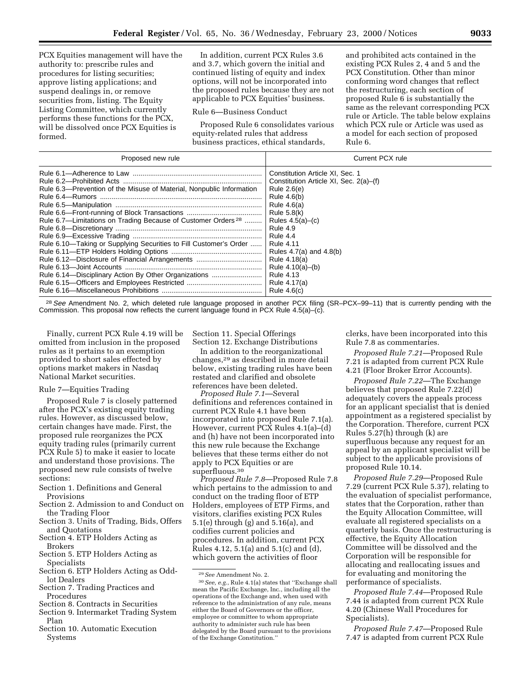PCX Equities management will have the authority to: prescribe rules and procedures for listing securities; approve listing applications; and suspend dealings in, or remove securities from, listing. The Equity Listing Committee, which currently performs these functions for the PCX, will be dissolved once PCX Equities is formed.

In addition, current PCX Rules 3.6 and 3.7, which govern the initial and continued listing of equity and index options, will not be incorporated into the proposed rules because they are not applicable to PCX Equities' business.

### Rule 6—Business Conduct

Proposed Rule 6 consolidates various equity-related rules that address business practices, ethical standards,

and prohibited acts contained in the existing PCX Rules 2, 4 and 5 and the PCX Constitution. Other than minor conforming word changes that reflect the restructuring, each section of proposed Rule 6 is substantially the same as the relevant corresponding PCX rule or Article. The table below explains which PCX rule or Article was used as a model for each section of proposed Rule 6.

| Proposed new rule                                                                                                                                                                                                                                                                                                               | Current PCX rule                                                                                                                                                                                                                                                                                                                |
|---------------------------------------------------------------------------------------------------------------------------------------------------------------------------------------------------------------------------------------------------------------------------------------------------------------------------------|---------------------------------------------------------------------------------------------------------------------------------------------------------------------------------------------------------------------------------------------------------------------------------------------------------------------------------|
| Rule 6.3—Prevention of the Misuse of Material, Nonpublic Information<br>Rule 6.7—Limitations on Trading Because of Customer Orders <sup>28</sup><br>Rule 6.10—Taking or Supplying Securities to Fill Customer's Order<br>Rule 6.12-Disclosure of Financial Arrangements<br>Rule 6.14—Disciplinary Action By Other Organizations | Constitution Article XI. Sec. 1<br>Constitution Article XI, Sec. 2(a)–(f)<br>Rule 2.6(e)<br>Rule 4.6(b)<br>Rule $4.6(a)$<br>Rule 5.8(k)<br>Rules $4.5(a)$ – $(c)$<br><b>Rule 4.9</b><br>Rule 4.4<br><b>Rule 4.11</b><br>Rules $4.7(a)$ and $4.8(b)$<br>Rule 4.18(a)<br>Rule $4.10(a) - (b)$<br><b>Rule 4.13</b><br>Rule 4.17(a) |
|                                                                                                                                                                                                                                                                                                                                 | Rule $4.6(c)$                                                                                                                                                                                                                                                                                                                   |

<sup>28</sup> See Amendment No. 2, which deleted rule language proposed in another PCX filing (SR-PCX-99-11) that is currently pending with the Commission. This proposal now reflects the current language found in PCX Rule  $4.5(a)-(c)$ .

Finally, current PCX Rule 4.19 will be omitted from inclusion in the proposed rules as it pertains to an exemption provided to short sales effected by options market makers in Nasdaq National Market securities.

### Rule 7—Equities Trading

Proposed Rule 7 is closely patterned after the PCX's existing equity trading rules. However, as discussed below, certain changes have made. First, the proposed rule reorganizes the PCX equity trading rules (primarily current PCX Rule 5) to make it easier to locate and understand those provisions. The proposed new rule consists of twelve sections:

- Section 1. Definitions and General Provisions
- Section 2. Admission to and Conduct on the Trading Floor
- Section 3. Units of Trading, Bids, Offers and Quotations
- Section 4. ETP Holders Acting as Brokers
- Section 5. ETP Holders Acting as Specialists
- Section 6. ETP Holders Acting as Oddlot Dealers
- Section 7. Trading Practices and Procedures
- Section 8. Contracts in Securities
- Section 9. Intermarket Trading System Plan
- Section 10. Automatic Execution Systems

Section 11. Special Offerings Section 12. Exchange Distributions

In addition to the reorganizational changes,29 as described in more detail below, existing trading rules have been restated and clarified and obsolete references have been deleted.

*Proposed Rule 7.1*—Several definitions and references contained in current PCX Rule 4.1 have been incorporated into proposed Rule 7.1(a). However, current PCX Rules 4.1(a)–(d) and (h) have not been incorporated into this new rule because the Exchange believes that these terms either do not apply to PCX Equities or are superfluous.30

*Proposed Rule 7.8*—Proposed Rule 7.8 which pertains to the admission to and conduct on the trading floor of ETP Holders, employees of ETP Firms, and visitors, clarifies existing PCX Rules 5.1(e) through (g) and 5.16(a), and codifies current policies and procedures. In addition, current PCX Rules 4.12, 5.1(a) and 5.1(c) and (d), which govern the activities of floor

clerks, have been incorporated into this Rule 7.8 as commentaries.

*Proposed Rule 7.21*—Proposed Rule 7.21 is adapted from current PCX Rule 4.21 (Floor Broker Error Accounts).

*Proposed Rule 7.22*—The Exchange believes that proposed Rule 7.22(d) adequately covers the appeals process for an applicant specialist that is denied appointment as a registered specialist by the Corporation. Therefore, current PCX Rules 5.27(h) through (k) are superfluous because any request for an appeal by an applicant specialist will be subject to the applicable provisions of proposed Rule 10.14.

*Proposed Rule 7.29*—Proposed Rule 7.29 (current PCX Rule 5.37), relating to the evaluation of specialist performance, states that the Corporation, rather than the Equity Allocation Committee, will evaluate all registered specialists on a quarterly basis. Once the restructuring is effective, the Equity Allocation Committee will be dissolved and the Corporation will be responsible for allocating and reallocating issues and for evaluating and monitoring the performance of specialists.

*Proposed Rule 7.44*—Proposed Rule 7.44 is adapted from current PCX Rule 4.20 (Chinese Wall Procedures for Specialists).

*Proposed Rule 7.47*—Proposed Rule 7.47 is adapted from current PCX Rule

<sup>29</sup>*See* Amendment No. 2.

<sup>30</sup>*See, e.g.*, Rule 4.1(a) states that ''Exchange shall mean the Pacific Exchange, Inc., including all the operations of the Exchange and, when used with reference to the administration of any rule, means either the Board of Governors or the officer, employee or committee to whom appropriate authority to administer such rule has been delegated by the Board pursuant to the provisions of the Exchange Constitution.''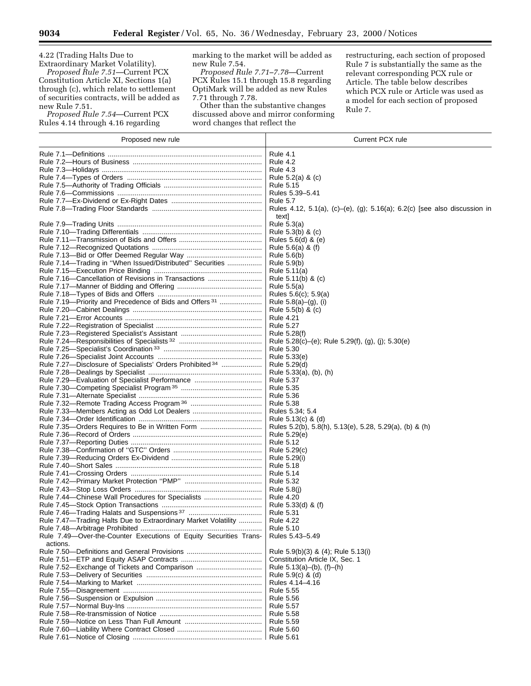4.22 (Trading Halts Due to

Extraordinary Market Volatility). *Proposed Rule 7.51*—Current PCX Constitution Article XI, Sections 1(a) through (c), which relate to settlement of securities contracts, will be added as new Rule 7.51.

*Proposed Rule 7.54*—Current PCX Rules 4.14 through 4.16 regarding

marking to the market will be added as new Rule 7.54.

*Proposed Rule 7.71–7.78*—Current PCX Rules 15.1 through 15.8 regarding OptiMark will be added as new Rules 7.71 through 7.78.

Other than the substantive changes discussed above and mirror conforming word changes that reflect the

restructuring, each section of proposed Rule 7 is substantially the same as the relevant corresponding PCX rule or Article. The table below describes which PCX rule or Article was used as a model for each section of proposed Rule 7.

| Proposed new rule                                                  | Current PCX rule                                                          |
|--------------------------------------------------------------------|---------------------------------------------------------------------------|
|                                                                    | <b>Rule 4.1</b>                                                           |
|                                                                    | <b>Rule 4.2</b>                                                           |
|                                                                    | <b>Rule 4.3</b>                                                           |
|                                                                    | Rule $5.2(a)$ & $(c)$                                                     |
|                                                                    | Rule 5.15                                                                 |
|                                                                    | Rules 5.39-5.41                                                           |
|                                                                    | <b>Rule 5.7</b>                                                           |
|                                                                    | Rules 4.12, 5.1(a), (c)–(e), (g); 5.16(a); 6.2(c) [see also discussion in |
|                                                                    | text                                                                      |
|                                                                    | Rule 5.3(a)                                                               |
|                                                                    | Rule 5.3(b) & (c)                                                         |
|                                                                    | Rules 5.6(d) & (e)                                                        |
|                                                                    | Rule 5.6(a) & (f)                                                         |
|                                                                    | Rule 5.6(b)                                                               |
| Rule 7.14-Trading in "When Issued/Distributed" Securities          | Rule $5.9(b)$                                                             |
|                                                                    | Rule 5.11(a)                                                              |
| Rule 7.16–Cancellation of Revisions in Transactions                | Rule 5.11(b) & (c)                                                        |
|                                                                    | Rule 5.5(a)                                                               |
|                                                                    | Rules 5.6(c); 5.9(a)                                                      |
| Rule 7.19-Priority and Precedence of Bids and Offers <sup>31</sup> | Rule 5.8(a)-(g), (i)                                                      |
|                                                                    | Rule 5.5(b) & (c)                                                         |
|                                                                    | <b>Rule 4.21</b>                                                          |
|                                                                    | <b>Rule 5.27</b>                                                          |
|                                                                    | Rule 5.28(f)                                                              |
|                                                                    | Rule 5.28(c)-(e); Rule 5.29(f), (g), (j); 5.30(e)                         |
|                                                                    | <b>Rule 5.30</b>                                                          |
|                                                                    | Rule 5.33(e)                                                              |
| Rule 7.27-Disclosure of Specialists' Orders Prohibited 34          | Rule 5.29(d)                                                              |
|                                                                    | Rule 5.33(a), (b), (h)                                                    |
| Rule 7.29-Evaluation of Specialist Performance                     | <b>Rule 5.37</b>                                                          |
|                                                                    | <b>Rule 5.35</b>                                                          |
|                                                                    | <b>Rule 5.36</b>                                                          |
|                                                                    | <b>Rule 5.38</b>                                                          |
|                                                                    | Rules 5.34; 5.4                                                           |
|                                                                    | Rule 5.13(c) & (d)                                                        |
| Rule 7.35-Orders Requires to Be in Written Form                    | Rules 5.2(b), 5.8(h), 5.13(e), 5.28, 5.29(a), (b) & (h)                   |
|                                                                    | Rule 5.29(e)                                                              |
|                                                                    | <b>Rule 5.12</b>                                                          |
|                                                                    | Rule 5.29(c)                                                              |
|                                                                    | Rule 5.29(i)                                                              |
|                                                                    | <b>Rule 5.18</b>                                                          |
|                                                                    | <b>Rule 5.14</b>                                                          |
|                                                                    | <b>Rule 5.32</b>                                                          |
|                                                                    | Rule 5.8(j)                                                               |
| Rule 7.44–Chinese Wall Procedures for Specialists                  | <b>Rule 4.20</b>                                                          |
|                                                                    | Rule 5.33(d) & (f)                                                        |
|                                                                    | <b>Rule 5.31</b>                                                          |
| Rule 7.47-Trading Halts Due to Extraordinary Market Volatility     | <b>Rule 4.22</b>                                                          |
|                                                                    | <b>Rule 5.10</b>                                                          |
| Rule 7.49-Over-the-Counter Executions of Equity Securities Trans-  | Rules 5.43-5.49                                                           |
| actions.                                                           |                                                                           |
|                                                                    | Rule 5.9(b)(3) & (4); Rule 5.13(i)                                        |
|                                                                    | Constitution Article IX, Sec. 1                                           |
| Rule 7.52-Exchange of Tickets and Comparison                       | Rule 5.13(a)-(b), (f)-(h)                                                 |
|                                                                    | Rule 5.9(c) & (d)                                                         |
|                                                                    | Rules 4.14-4.16                                                           |
|                                                                    | <b>Rule 5.55</b>                                                          |
|                                                                    |                                                                           |
|                                                                    | <b>Rule 5.56</b>                                                          |
|                                                                    | <b>Rule 5.57</b>                                                          |
|                                                                    | Rule 5.58                                                                 |
|                                                                    | <b>Rule 5.59</b>                                                          |
|                                                                    | <b>Rule 5.60</b>                                                          |
|                                                                    | <b>Rule 5.61</b>                                                          |

-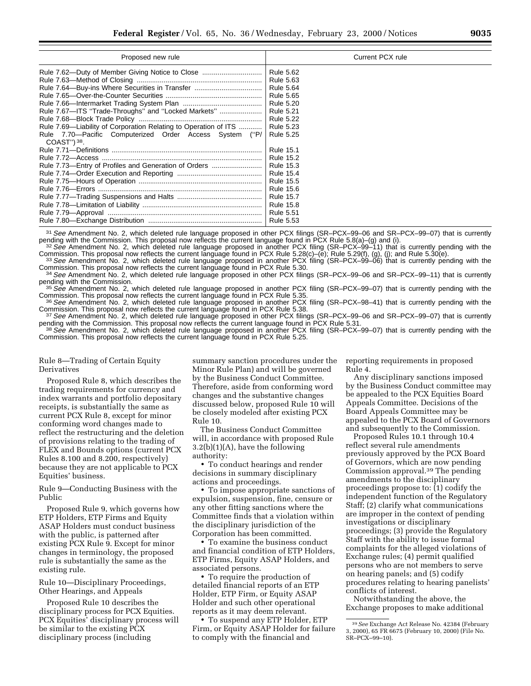| Proposed new rule                                               | Current PCX rule |
|-----------------------------------------------------------------|------------------|
| Rule 7.62—Duty of Member Giving Notice to Close                 | <b>Rule 5.62</b> |
|                                                                 | <b>Rule 5.63</b> |
| Rule 7.64-Buy-ins Where Securities in Transfer                  | <b>Rule 5.64</b> |
|                                                                 | Rule 5.65        |
|                                                                 | <b>Rule 5.20</b> |
| Rule 7.67—ITS "Trade-Throughs" and "Locked Markets"             | <b>Rule 5.21</b> |
|                                                                 | <b>Rule 5.22</b> |
| Rule 7.69—Liability of Corporation Relating to Operation of ITS | <b>Rule 5.23</b> |
| Rule 7.70—Pacific Computerized Order Access System ("P/         | Rule 5.25        |
| $COAST"$ ) <sup>38</sup> .                                      |                  |
|                                                                 | Rule 15.1        |
|                                                                 | <b>Rule 15.2</b> |
| Rule 7.73-Entry of Profiles and Generation of Orders            | <b>Rule 15.3</b> |
|                                                                 | <b>Rule 15.4</b> |
|                                                                 | <b>Rule 15.5</b> |
|                                                                 | <b>Rule 15.6</b> |
|                                                                 | <b>Rule 15.7</b> |
|                                                                 | <b>Rule 15.8</b> |
|                                                                 | <b>Rule 5.51</b> |
|                                                                 |                  |

<sup>31</sup> See Amendment No. 2, which deleted rule language proposed in other PCX filings (SR–PCX–99–06 and SR–PCX–99–07) that is currently pending with the Commission. This proposal now reflects the current language found in PC

<sup>32</sup> See Amendment No. 2, which deleted rule language proposed in another PCX filing (SR-PCX-99-11) that is currently pending with the Commission. This proposal now reflects the current language found in PCX Rule 5.28(c)-(e); Rule 5.29(f), (g), (j); and Rule 5.30(e).<br>33 See Amendment No. 2, which deleted rule language found in PCX Rule 5.28(c)-(e); Rule 5

<sup>34</sup> See Amendment No. 2, which deleted rule language proposed in other PCX filings (SR–PCX–99–06 and SR–PCX–99–11) that is currently pending with the Commission.

<sup>35</sup> See Amendment No. 2, which deleted rule language proposed in another PCX filing (SR–PCX–99–07) that is currently pending with the Commission. This proposal now reflects the current language found in PCX Rule 5.35.

<sup>36</sup> See Amendment No. 2, which deleted rule language proposed in another PCX filing (SR–PCX–98–41) that is currently pending with the Commission. This proposal now reflects the current language found in PCX Rule 5.38. Commission. This proposal now reflects the current language found in PCX Rule 5.38.<br><sup>37</sup>See Amendment No. 2, which deleted rule language proposed in other PCX filings (SR–PCX–99–06 and SR–PCX–99–07) that is currently

pending with the Commission. This proposal now reflects the current language found in PCX Rule 5.31.<br><sup>38</sup> See Amendment No. 2, which deleted rule language proposed in another PCX filing (SR–PCX–99–07) that is currently pen

Commission. This proposal now reflects the current language found in PCX Rule 5.25.

Rule 8—Trading of Certain Equity Derivatives

Proposed Rule 8, which describes the trading requirements for currency and index warrants and portfolio depositary receipts, is substantially the same as current PCX Rule 8, except for minor conforming word changes made to reflect the restructuring and the deletion of provisions relating to the trading of FLEX and Bounds options (current PCX Rules 8.100 and 8.200, respectively) because they are not applicable to PCX Equities' business.

Rule 9—Conducting Business with the Public

Proposed Rule 9, which governs how ETP Holders, ETP Firms and Equity ASAP Holders must conduct business with the public, is patterned after existing PCX Rule 9. Except for minor changes in terminology, the proposed rule is substantially the same as the existing rule.

Rule 10—Disciplinary Proceedings, Other Hearings, and Appeals

Proposed Rule 10 describes the disciplinary process for PCX Equities. PCX Equities' disciplinary process will be similar to the existing PCX disciplinary process (including

summary sanction procedures under the Minor Rule Plan) and will be governed by the Business Conduct Committee. Therefore, aside from conforming word changes and the substantive changes discussed below, proposed Rule 10 will be closely modeled after existing PCX Rule 10.

The Business Conduct Committee will, in accordance with proposed Rule 3.2(b)(1)(A), have the following authority:

• To conduct hearings and render decisions in summary disciplinary actions and proceedings.

• To impose appropriate sanctions of expulsion, suspension, fine, censure or any other fitting sanctions where the Committee finds that a violation within the disciplinary jurisdiction of the Corporation has been committed.

• To examine the business conduct and financial condition of ETP Holders, ETP Firms, Equity ASAP Holders, and associated persons.

• To require the production of detailed financial reports of an ETP Holder, ETP Firm, or Equity ASAP Holder and such other operational reports as it may deem relevant.

• To suspend any ETP Holder, ETP Firm, or Equity ASAP Holder for failure to comply with the financial and

reporting requirements in proposed Rule 4.

Any disciplinary sanctions imposed by the Business Conduct committee may be appealed to the PCX Equities Board Appeals Committee. Decisions of the Board Appeals Committee may be appealed to the PCX Board of Governors and subsequently to the Commission.

Proposed Rules 10.1 through 10.4 reflect several rule amendments previously approved by the PCX Board of Governors, which are now pending Commission approval.39 The pending amendments to the disciplinary proceedings propose to: (1) codify the independent function of the Regulatory Staff; (2) clarify what communications are improper in the context of pending investigations or disciplinary proceedings; (3) provide the Regulatory Staff with the ability to issue formal complaints for the alleged violations of Exchange rules; (4) permit qualified persons who are not members to serve on hearing panels; and (5) codify procedures relating to hearing panelists' conflicts of interest.

Notwithstanding the above, the Exchange proposes to make additional

<sup>39</sup>*See* Exchange Act Release No. 42384 (February 3, 2000), 65 FR 6675 (February 10, 2000) (File No. SR–PCX–99–10).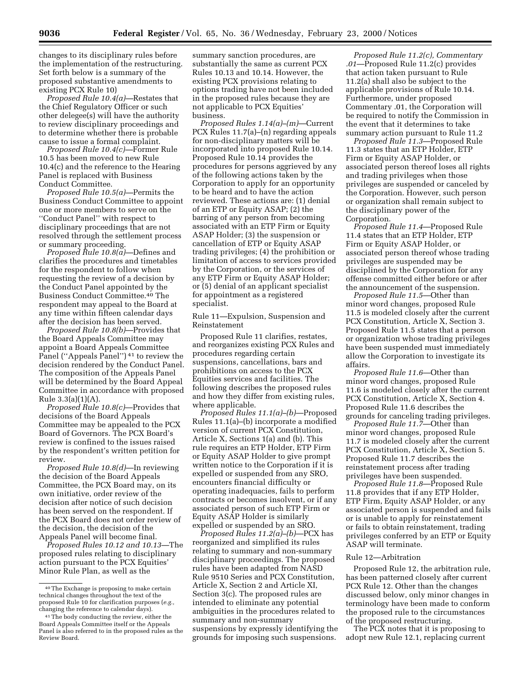changes to its disciplinary rules before the implementation of the restructuring. Set forth below is a summary of the proposed substantive amendments to existing PCX Rule 10)

*Proposed Rule 10.4(a)—*Restates that the Chief Regulatory Officer or such other delegee(s) will have the authority to review disciplinary proceedings and to determine whether there is probable cause to issue a formal complaint.

*Proposed Rule 10.4(c)—*Former Rule 10.5 has been moved to new Rule 10.4(c) and the reference to the Hearing Panel is replaced with Business Conduct Committee.

*Proposed Rule 10.5(a)—*Permits the Business Conduct Committee to appoint one or more members to serve on the ''Conduct Panel'' with respect to disciplinary proceedings that are not resolved through the settlement process or summary proceeding.

*Proposed Rule 10.8(a)—*Defines and clarifies the procedures and timetables for the respondent to follow when requesting the review of a decision by the Conduct Panel appointed by the Business Conduct Committee.40 The respondent may appeal to the Board at any time within fifteen calendar days after the decision has been served.

*Proposed Rule 10.8(b)*—Provides that the Board Appeals Committee may appoint a Board Appeals Committee Panel ("Appeals Panel")<sup>41</sup> to review the decision rendered by the Conduct Panel. The composition of the Appeals Panel will be determined by the Board Appeal Committee in accordance with proposed Rule 3.3(a)(1)(A).

*Proposed Rule 10.8(c)*—Provides that decisions of the Board Appeals Committee may be appealed to the PCX Board of Governors. The PCX Board's review is confined to the issues raised by the respondent's written petition for review.

*Proposed Rule 10.8(d)*—In reviewing the decision of the Board Appeals Committee, the PCX Board may, on its own initiative, order review of the decision after notice of such decision has been served on the respondent. If the PCX Board does not order review of the decision, the decision of the Appeals Panel will become final.

*Proposed Rules 10.12 and 10.13*—The proposed rules relating to disciplinary action pursuant to the PCX Equities' Minor Rule Plan, as well as the

summary sanction procedures, are substantially the same as current PCX Rules 10.13 and 10.14. However, the existing PCX provisions relating to options trading have not been included in the proposed rules because they are not applicable to PCX Equities' business.

*Proposed Rules 1.14(a)–(m)*—Current PCX Rules 11.7(a)–(n) regarding appeals for non-disciplinary matters will be incorporated into proposed Rule 10.14. Proposed Rule 10.14 provides the procedures for persons aggrieved by any of the following actions taken by the Corporation to apply for an opportunity to be heard and to have the action reviewed. These actions are: (1) denial of an ETP or Equity ASAP; (2) the barring of any person from becoming associated with an ETP Firm or Equity ASAP Holder; (3) the suspension or cancellation of ETP or Equity ASAP trading privileges; (4) the prohibition or limitation of access to services provided by the Corporation, or the services of any ETP Firm or Equity ASAP Holder; or (5) denial of an applicant specialist for appointment as a registered specialist.

Rule 11—Expulsion, Suspension and Reinstatement

Proposed Rule 11 clarifies, restates, and reorganizes existing PCX Rules and procedures regarding certain suspensions, cancellations, bars and prohibitions on access to the PCX Equities services and facilities. The following describes the proposed rules and how they differ from existing rules, where applicable.

*Proposed Rules 11.1(a)–(b)*—Proposed Rules 11.1(a)–(b) incorporate a modified version of current PCX Constitution, Article X, Sections 1(a) and (b). This rule requires an ETP Holder, ETP Firm or Equity ASAP Holder to give prompt written notice to the Corporation if it is expelled or suspended from any SRO, encounters financial difficulty or operating inadequacies, fails to perform contracts or becomes insolvent, or if any associated person of such ETP Firm or Equity ASAP Holder is similarly expelled or suspended by an SRO.

*Proposed Rules 11.2(a)–(b)*—PCX has reorganized and simplified its rules relating to summary and non-summary disciplinary proceedings. The proposed rules have been adapted from NASD Rule 9510 Series and PCX Constitution, Article X, Section 2 and Article XI, Section 3(c). The proposed rules are intended to eliminate any potential ambiguities in the procedures related to summary and non-summary suspensions by expressly identifying the grounds for imposing such suspensions.

*Proposed Rule 11.2(c), Commentary .01*—Proposed Rule 11.2(c) provides that action taken pursuant to Rule 11.2(a) shall also be subject to the applicable provisions of Rule 10.14. Furthermore, under proposed Commentary .01, the Corporation will be required to notify the Commission in the event that it determines to take summary action pursuant to Rule 11.2

*Proposed Rule 11.3*—Proposed Rule 11.3 states that an ETP Holder, ETP Firm or Equity ASAP Holder, or associated person thereof loses all rights and trading privileges when those privileges are suspended or canceled by the Corporation. However, such person or organization shall remain subject to the disciplinary power of the Corporation.

*Proposed Rule 11.4*—Proposed Rule 11.4 states that an ETP Holder, ETP Firm or Equity ASAP Holder, or associated person thereof whose trading privileges are suspended may be disciplined by the Corporation for any offense committed either before or after the announcement of the suspension.

*Proposed Rule 11.5*—Other than minor word changes, proposed Rule 11.5 is modeled closely after the current PCX Constitution, Article X, Section 3. Proposed Rule 11.5 states that a person or organization whose trading privileges have been suspended must immediately allow the Corporation to investigate its affairs.

*Proposed Rule 11.6*—Other than minor word changes, proposed Rule 11.6 is modeled closely after the current PCX Constitution, Article X, Section 4. Proposed Rule 11.6 describes the grounds for canceling trading privileges.

*Proposed Rule 11.7*—Other than minor word changes, proposed Rule 11.7 is modeled closely after the current PCX Constitution, Article X, Section 5. Proposed Rule 11.7 describes the reinstatement process after trading privileges have been suspended.

*Proposed Rule 11.8*—Proposed Rule 11.8 provides that if any ETP Holder, ETP Firm, Equity ASAP Holder, or any associated person is suspended and fails or is unable to apply for reinstatement or fails to obtain reinstatement, trading privileges conferred by an ETP or Equity ASAP will terminate.

### Rule 12—Arbitration

Proposed Rule 12, the arbitration rule, has been patterned closely after current PCX Rule 12. Other than the changes discussed below, only minor changes in terminology have been made to conform the proposed rule to the circumstances of the proposed restructuring.

The PCX notes that it is proposing to adopt new Rule 12.1, replacing current

<sup>40</sup>The Exchange is proposing to make certain technical changes throughout the text of the proposed Rule 10 for clarification purposes (*e.g.,* changing the reference to calendar days).

<sup>41</sup>The body conducting the review, either the Board Appeals Committee itself or the Appeals Panel is also referred to in the proposed rules as the Review Board.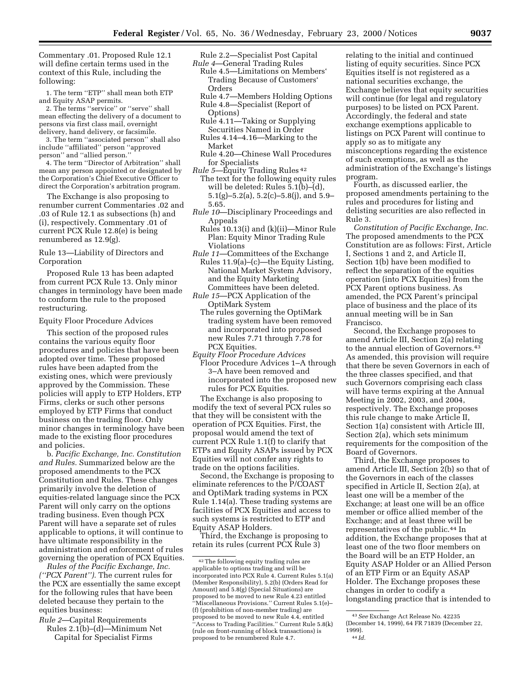Commentary .01. Proposed Rule 12.1 will define certain terms used in the context of this Rule, including the following:

1. The term ''ETP'' shall mean both ETP and Equity ASAP permits.

2. The terms ''service'' or ''serve'' shall mean effecting the delivery of a document to persons via first class mail, overnight delivery, hand delivery, or facsimile.

3. The term ''associated person'' shall also include ''affiliated'' person ''approved person'' and ''allied person.''

4. The term ''Director of Arbitration'' shall mean any person appointed or designated by the Corporation's Chief Executive Officer to direct the Corporation's arbitration program.

The Exchange is also proposing to renumber current Commentaries .02 and .03 of Rule 12.1 as subsections (h) and (i), respectively. Commentary .01 of current PCX Rule 12.8(e) is being renumbered as 12.9(g).

Rule 13—Liability of Directors and Corporation

Proposed Rule 13 has been adapted from current PCX Rule 13. Only minor changes in terminology have been made to conform the rule to the proposed restructuring.

Equity Floor Procedure Advices

This section of the proposed rules contains the various equity floor procedures and policies that have been adopted over time. These proposed rules have been adapted from the existing ones, which were previously approved by the Commission. These policies will apply to ETP Holders, ETP Firms, clerks or such other persons employed by ETP Firms that conduct business on the trading floor. Only minor changes in terminology have been made to the existing floor procedures and policies.

b. *Pacific Exchange, Inc. Constitution and Rules.* Summarized below are the proposed amendments to the PCX Constitution and Rules. These changes primarily involve the deletion of equities-related language since the PCX Parent will only carry on the options trading business. Even though PCX Parent will have a separate set of rules applicable to options, it will continue to have ultimate responsibility in the administration and enforcement of rules governing the operation of PCX Equities.

*Rules of the Pacific Exchange, Inc. (''PCX Parent'').* The current rules for the PCX are essentially the same except for the following rules that have been deleted because they pertain to the equities business:

- *Rule 2*—Capital Requirements Rules 2.1(b)–(d)—Minimum Net
	- Capital for Specialist Firms
- Rule 2.2—Specialist Post Capital *Rule 4*—General Trading Rules
	- Rule 4.5—Limitations on Members' Trading Because of Customers' Orders
	- Rule 4.7—Members Holding Options Rule 4.8—Specialist (Report of
	- Options) Rule 4.11—Taking or Supplying
	- Securities Named in Order Rules 4.14–4.16—Marking to the Market
- Rule 4.20—Chinese Wall Procedures for Specialists
- *Rule 5*—Equity Trading Rules 42 The text for the following equity rules will be deleted: Rules 5.1(b)–(d), 5.1(g)–5.2(a), 5.2(c)–5.8(j), and 5.9– 5.65.
- *Rule 10*—Disciplinary Proceedings and Appeals
- Rules 10.13(i) and (k)(ii)—Minor Rule Plan: Equity Minor Trading Rule Violations
- *Rule 11*—Committees of the Exchange Rules 11.9(a)–(c)—the Equity Listing, National Market System Advisory, and the Equity Marketing Committees have been deleted.
- *Rule 15*—PCX Application of the OptiMark System
	- The rules governing the OptiMark trading system have been removed and incorporated into proposed new Rules 7.71 through 7.78 for PCX Equities.
- *Equity Floor Procedure Advices* Floor Procedure Advices 1–A through 3–A have been removed and incorporated into the proposed new rules for PCX Equities.

The Exchange is also proposing to modify the text of several PCX rules so that they will be consistent with the operation of PCX Equities. First, the proposal would amend the text of current PCX Rule 1.1(f) to clarify that ETPs and Equity ASAPs issued by PCX Equities will not confer any rights to trade on the options facilities.

Second, the Exchange is proposing to eliminate references to the P/COAST and OptiMark trading systems in PCX Rule 1.14(a). These trading systems are facilities of PCX Equities and access to such systems is restricted to ETP and Equity ASAP Holders.

Third, the Exchange is proposing to retain its rules (current PCX Rule 3)

relating to the initial and continued listing of equity securities. Since PCX Equities itself is not registered as a national securities exchange, the Exchange believes that equity securities will continue (for legal and regulatory purposes) to be listed on PCX Parent. Accordingly, the federal and state exchange exemptions applicable to listings on PCX Parent will continue to apply so as to mitigate any misconceptions regarding the existence of such exemptions, as well as the administration of the Exchange's listings program.

Fourth, as discussed earlier, the proposed amendments pertaining to the rules and procedures for listing and delisting securities are also reflected in Rule 3.

*Constitution of Pacific Exchange, Inc.* The proposed amendments to the PCX Constitution are as follows: First, Article I, Sections 1 and 2, and Article II, Section 1(b) have been modified to reflect the separation of the equities operation (into PCX Equities) from the PCX Parent options business. As amended, the PCX Parent's principal place of business and the place of its annual meeting will be in San Francisco.

Second, the Exchange proposes to amend Article III, Section 2(a) relating to the annual election of Governors.43 As amended, this provision will require that there be seven Governors in each of the three classes specified, and that such Governors comprising each class will have terms expiring at the Annual Meeting in 2002, 2003, and 2004, respectively. The Exchange proposes this rule change to make Article II, Section 1(a) consistent with Article III, Section 2(a), which sets minimum requirements for the composition of the Board of Governors.

Third, the Exchange proposes to amend Article III, Section 2(b) so that of the Governors in each of the classes specified in Article II, Section 2(a), at least one will be a member of the Exchange; at least one will be an office member or office allied member of the Exchange; and at least three will be representatives of the public.44 In addition, the Exchange proposes that at least one of the two floor members on the Board will be an ETP Holder, an Equity ASAP Holder or an Allied Person of an ETP Firm or an Equity ASAP Holder. The Exchange proposes these changes in order to codify a longstanding practice that is intended to

<sup>42</sup>The following equity trading rules are applicable to options trading and will be incorporated into PCX Rule 4. Current Rules 5.1(a) (Member Responsibility), 5.2(b) (Orders Read for Amount) and 5.8(g) (Special Situations) are proposed to be moved to new Rule 4.23 entitled ''Miscellaneous Provisions.'' Current Rules 5.1(e)– (f) (prohibition of non-member trading) are proposed to be moved to new Rule 4.4, entitled ''Access to Trading Facilities.'' Current Rule 5.8(k) (rule on front-running of block transactions) is proposed to be renumbered Rule 4.7.

<sup>43</sup>*See* Exchange Act Release No. 42235 (December 14, 1999), 64 FR 71839 (December 22, 1999). 44 *Id.*